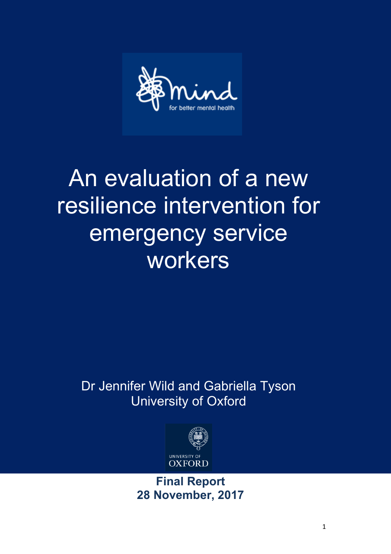

# An evaluation of a new resilience intervention for emergency service **workers**

Dr Jennifer Wild and Gabriella Tyson University of Oxford



**Final Report 28 November, 2017**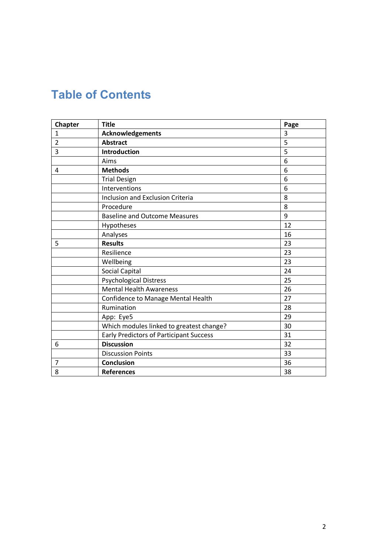# **Table of Contents**

| Chapter        | <b>Title</b>                                   | Page |
|----------------|------------------------------------------------|------|
| $\mathbf{1}$   | <b>Acknowledgements</b>                        | 3    |
| $\overline{2}$ | <b>Abstract</b>                                | 5    |
| 3              | Introduction                                   | 5    |
|                | Aims                                           | 6    |
| 4              | <b>Methods</b>                                 | 6    |
|                | <b>Trial Design</b>                            | 6    |
|                | Interventions                                  | 6    |
|                | <b>Inclusion and Exclusion Criteria</b>        | 8    |
|                | Procedure                                      | 8    |
|                | <b>Baseline and Outcome Measures</b>           | 9    |
|                | Hypotheses                                     | 12   |
|                | Analyses                                       | 16   |
| 5              | <b>Results</b>                                 | 23   |
|                | Resilience                                     | 23   |
|                | Wellbeing                                      | 23   |
|                | <b>Social Capital</b>                          | 24   |
|                | <b>Psychological Distress</b>                  | 25   |
|                | <b>Mental Health Awareness</b>                 | 26   |
|                | Confidence to Manage Mental Health             | 27   |
|                | Rumination                                     | 28   |
|                | App: Eye5                                      | 29   |
|                | Which modules linked to greatest change?       | 30   |
|                | <b>Early Predictors of Participant Success</b> | 31   |
| 6              | <b>Discussion</b>                              | 32   |
|                | <b>Discussion Points</b>                       | 33   |
| 7              | <b>Conclusion</b>                              | 36   |
| 8              | <b>References</b>                              | 38   |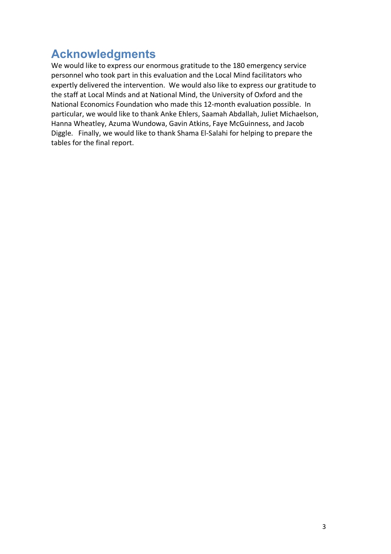# **Acknowledgments**

We would like to express our enormous gratitude to the 180 emergency service personnel who took part in this evaluation and the Local Mind facilitators who expertly delivered the intervention. We would also like to express our gratitude to the staff at Local Minds and at National Mind, the University of Oxford and the National Economics Foundation who made this 12-month evaluation possible. In particular, we would like to thank Anke Ehlers, Saamah Abdallah, Juliet Michaelson, Hanna Wheatley, Azuma Wundowa, Gavin Atkins, Faye McGuinness, and Jacob Diggle. Finally, we would like to thank Shama El-Salahi for helping to prepare the tables for the final report.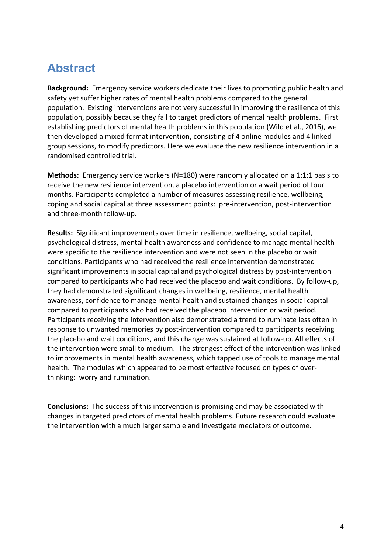# **Abstract**

**Background:** Emergency service workers dedicate their lives to promoting public health and safety yet suffer higher rates of mental health problems compared to the general population. Existing interventions are not very successful in improving the resilience of this population, possibly because they fail to target predictors of mental health problems. First establishing predictors of mental health problems in this population (Wild et al., 2016), we then developed a mixed format intervention, consisting of 4 online modules and 4 linked group sessions, to modify predictors. Here we evaluate the new resilience intervention in a randomised controlled trial.

**Methods:** Emergency service workers (N=180) were randomly allocated on a 1:1:1 basis to receive the new resilience intervention, a placebo intervention or a wait period of four months. Participants completed a number of measures assessing resilience, wellbeing, coping and social capital at three assessment points: pre-intervention, post-intervention and three-month follow-up.

**Results:** Significant improvements over time in resilience, wellbeing, social capital, psychological distress, mental health awareness and confidence to manage mental health were specific to the resilience intervention and were not seen in the placebo or wait conditions. Participants who had received the resilience intervention demonstrated significant improvements in social capital and psychological distress by post-intervention compared to participants who had received the placebo and wait conditions. By follow-up, they had demonstrated significant changes in wellbeing, resilience, mental health awareness, confidence to manage mental health and sustained changes in social capital compared to participants who had received the placebo intervention or wait period. Participants receiving the intervention also demonstrated a trend to ruminate less often in response to unwanted memories by post-intervention compared to participants receiving the placebo and wait conditions, and this change was sustained at follow-up. All effects of the intervention were small to medium. The strongest effect of the intervention was linked to improvements in mental health awareness, which tapped use of tools to manage mental health. The modules which appeared to be most effective focused on types of overthinking: worry and rumination.

**Conclusions:** The success of this intervention is promising and may be associated with changes in targeted predictors of mental health problems. Future research could evaluate the intervention with a much larger sample and investigate mediators of outcome.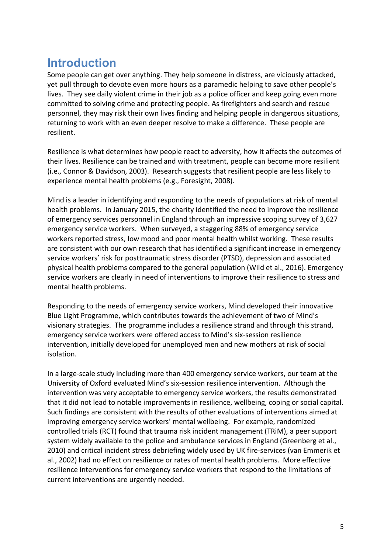# **Introduction**

Some people can get over anything. They help someone in distress, are viciously attacked, yet pull through to devote even more hours as a paramedic helping to save other people's lives. They see daily violent crime in their job as a police officer and keep going even more committed to solving crime and protecting people. As firefighters and search and rescue personnel, they may risk their own lives finding and helping people in dangerous situations, returning to work with an even deeper resolve to make a difference. These people are resilient.

Resilience is what determines how people react to adversity, how it affects the outcomes of their lives. Resilience can be trained and with treatment, people can become more resilient (i.e., Connor & Davidson, 2003). Research suggests that resilient people are less likely to experience mental health problems (e.g., Foresight, 2008).

Mind is a leader in identifying and responding to the needs of populations at risk of mental health problems. In January 2015, the charity identified the need to improve the resilience of emergency services personnel in England through an impressive scoping survey of 3,627 emergency service workers. When surveyed, a staggering 88% of emergency service workers reported stress, low mood and poor mental health whilst working. These results are consistent with our own research that has identified a significant increase in emergency service workers' risk for posttraumatic stress disorder (PTSD), depression and associated physical health problems compared to the general population (Wild et al., 2016). Emergency service workers are clearly in need of interventions to improve their resilience to stress and mental health problems.

Responding to the needs of emergency service workers, Mind developed their innovative Blue Light Programme, which contributes towards the achievement of two of Mind's visionary strategies. The programme includes a resilience strand and through this strand, emergency service workers were offered access to Mind's six-session resilience intervention, initially developed for unemployed men and new mothers at risk of social isolation.

In a large-scale study including more than 400 emergency service workers, our team at the University of Oxford evaluated Mind's six-session resilience intervention. Although the intervention was very acceptable to emergency service workers, the results demonstrated that it did not lead to notable improvements in resilience, wellbeing, coping or social capital. Such findings are consistent with the results of other evaluations of interventions aimed at improving emergency service workers' mental wellbeing. For example, randomized controlled trials (RCT) found that trauma risk incident management (TRiM), a peer support system widely available to the police and ambulance services in England (Greenberg et al., 2010) and critical incident stress debriefing widely used by UK fire-services (van Emmerik et al., 2002) had no effect on resilience or rates of mental health problems. More effective resilience interventions for emergency service workers that respond to the limitations of current interventions are urgently needed.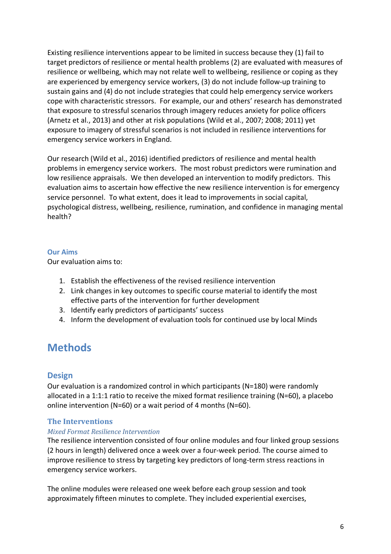Existing resilience interventions appear to be limited in success because they (1) fail to target predictors of resilience or mental health problems (2) are evaluated with measures of resilience or wellbeing, which may not relate well to wellbeing, resilience or coping as they are experienced by emergency service workers, (3) do not include follow-up training to sustain gains and (4) do not include strategies that could help emergency service workers cope with characteristic stressors. For example, our and others' research has demonstrated that exposure to stressful scenarios through imagery reduces anxiety for police officers (Arnetz et al., 2013) and other at risk populations (Wild et al., 2007; 2008; 2011) yet exposure to imagery of stressful scenarios is not included in resilience interventions for emergency service workers in England.

Our research (Wild et al., 2016) identified predictors of resilience and mental health problems in emergency service workers. The most robust predictors were rumination and low resilience appraisals. We then developed an intervention to modify predictors. This evaluation aims to ascertain how effective the new resilience intervention is for emergency service personnel. To what extent, does it lead to improvements in social capital, psychological distress, wellbeing, resilience, rumination, and confidence in managing mental health?

### **Our Aims**

Our evaluation aims to:

- 1. Establish the effectiveness of the revised resilience intervention
- 2. Link changes in key outcomes to specific course material to identify the most effective parts of the intervention for further development
- 3. Identify early predictors of participants' success
- 4. Inform the development of evaluation tools for continued use by local Minds

### **Methods**

### **Design**

Our evaluation is a randomized control in which participants (N=180) were randomly allocated in a 1:1:1 ratio to receive the mixed format resilience training (N=60), a placebo online intervention (N=60) or a wait period of 4 months (N=60).

### **The Interventions**

### *Mixed Format Resilience Intervention*

The resilience intervention consisted of four online modules and four linked group sessions (2 hours in length) delivered once a week over a four-week period. The course aimed to improve resilience to stress by targeting key predictors of long-term stress reactions in emergency service workers.

The online modules were released one week before each group session and took approximately fifteen minutes to complete. They included experiential exercises,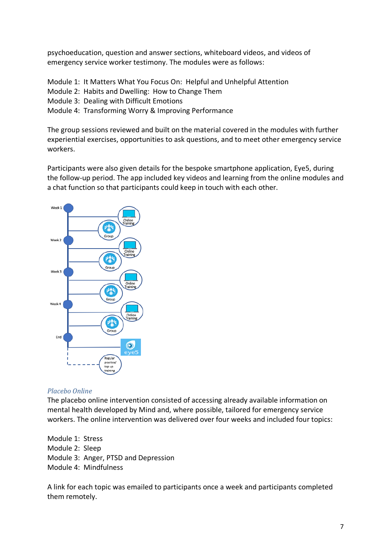psychoeducation, question and answer sections, whiteboard videos, and videos of emergency service worker testimony. The modules were as follows:

- Module 1: It Matters What You Focus On: Helpful and Unhelpful Attention
- Module 2: Habits and Dwelling: How to Change Them
- Module 3: Dealing with Difficult Emotions
- Module 4: Transforming Worry & Improving Performance

The group sessions reviewed and built on the material covered in the modules with further experiential exercises, opportunities to ask questions, and to meet other emergency service workers.

Participants were also given details for the bespoke smartphone application, Eye5, during the follow-up period. The app included key videos and learning from the online modules and a chat function so that participants could keep in touch with each other.



### *Placebo Online*

The placebo online intervention consisted of accessing already available information on mental health developed by Mind and, where possible, tailored for emergency service workers. The online intervention was delivered over four weeks and included four topics:

Module 1: Stress Module 2: Sleep Module 3: Anger, PTSD and Depression Module 4: Mindfulness

A link for each topic was emailed to participants once a week and participants completed them remotely.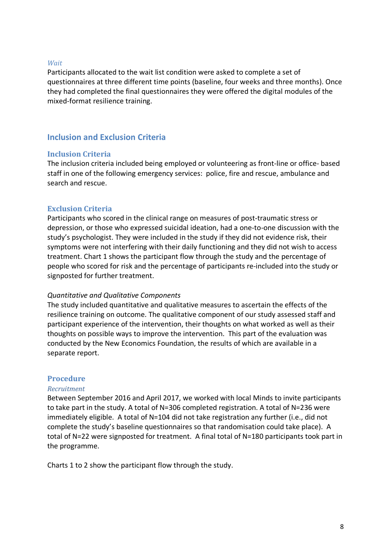#### *Wait*

Participants allocated to the wait list condition were asked to complete a set of questionnaires at three different time points (baseline, four weeks and three months). Once they had completed the final questionnaires they were offered the digital modules of the mixed-format resilience training.

### **Inclusion and Exclusion Criteria**

### **Inclusion Criteria**

The inclusion criteria included being employed or volunteering as front-line or office- based staff in one of the following emergency services: police, fire and rescue, ambulance and search and rescue.

### **Exclusion Criteria**

Participants who scored in the clinical range on measures of post-traumatic stress or depression, or those who expressed suicidal ideation, had a one-to-one discussion with the study's psychologist. They were included in the study if they did not evidence risk, their symptoms were not interfering with their daily functioning and they did not wish to access treatment. Chart 1 shows the participant flow through the study and the percentage of people who scored for risk and the percentage of participants re-included into the study or signposted for further treatment.

### *Quantitative and Qualitative Components*

The study included quantitative and qualitative measures to ascertain the effects of the resilience training on outcome. The qualitative component of our study assessed staff and participant experience of the intervention, their thoughts on what worked as well as their thoughts on possible ways to improve the intervention. This part of the evaluation was conducted by the New Economics Foundation, the results of which are available in a separate report.

### **Procedure**

### *Recruitment*

Between September 2016 and April 2017, we worked with local Minds to invite participants to take part in the study. A total of N=306 completed registration. A total of N=236 were immediately eligible. A total of N=104 did not take registration any further (i.e., did not complete the study's baseline questionnaires so that randomisation could take place). A total of N=22 were signposted for treatment. A final total of N=180 participants took part in the programme.

Charts 1 to 2 show the participant flow through the study.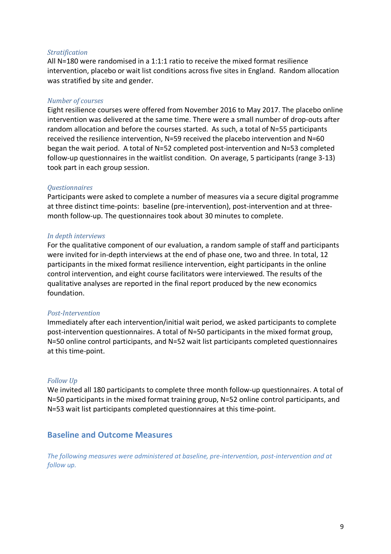#### *Stratification*

All N=180 were randomised in a 1:1:1 ratio to receive the mixed format resilience intervention, placebo or wait list conditions across five sites in England. Random allocation was stratified by site and gender.

#### *Number of courses*

Eight resilience courses were offered from November 2016 to May 2017. The placebo online intervention was delivered at the same time. There were a small number of drop-outs after random allocation and before the courses started. As such, a total of N=55 participants received the resilience intervention, N=59 received the placebo intervention and N=60 began the wait period. A total of N=52 completed post-intervention and N=53 completed follow-up questionnaires in the waitlist condition. On average, 5 participants (range 3-13) took part in each group session.

#### *Questionnaires*

Participants were asked to complete a number of measures via a secure digital programme at three distinct time-points: baseline (pre-intervention), post-intervention and at threemonth follow-up. The questionnaires took about 30 minutes to complete.

#### *In depth interviews*

For the qualitative component of our evaluation, a random sample of staff and participants were invited for in-depth interviews at the end of phase one, two and three. In total, 12 participants in the mixed format resilience intervention, eight participants in the online control intervention, and eight course facilitators were interviewed. The results of the qualitative analyses are reported in the final report produced by the new economics foundation.

#### *Post-Intervention*

Immediately after each intervention/initial wait period, we asked participants to complete post-intervention questionnaires. A total of N=50 participants in the mixed format group, N=50 online control participants, and N=52 wait list participants completed questionnaires at this time-point.

### *Follow Up*

We invited all 180 participants to complete three month follow-up questionnaires. A total of N=50 participants in the mixed format training group, N=52 online control participants, and N=53 wait list participants completed questionnaires at this time-point.

### **Baseline and Outcome Measures**

*The following measures were administered at baseline, pre-intervention, post-intervention and at follow up.*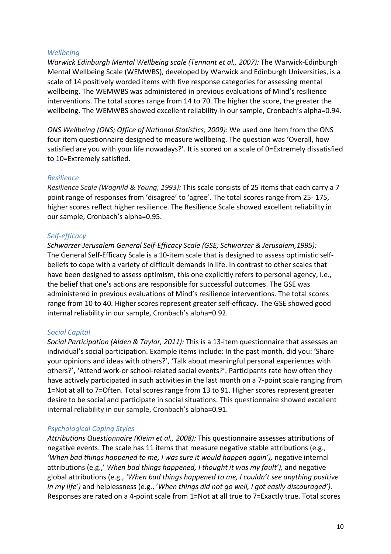### *Wellbeing*

*Warwick Edinburgh Mental Wellbeing scale (Tennant et al., 2007):* The Warwick-Edinburgh Mental Wellbeing Scale (WEMWBS), developed by Warwick and Edinburgh Universities, is a scale of 14 positively worded items with five response categories for assessing mental wellbeing. The WEMWBS was administered in previous evaluations of Mind's resilience interventions. The total scores range from 14 to 70. The higher the score, the greater the wellbeing. The WEMWBS showed excellent reliability in our sample, Cronbach's alpha=0.94.

*ONS Wellbeing (ONS; Office of National Statistics, 2009)*: We used one item from the ONS four item questionnaire designed to measure wellbeing. The question was 'Overall, how satisfied are you with your life nowadays?'. It is scored on a scale of 0=Extremely dissatisfied to 10=Extremely satisfied.

### *Resilience*

*Resilience Scale (Wagnild & Young, 1993):* This scale consists of 25 items that each carry a 7 point range of responses from 'disagree' to 'agree'. The total scores range from 25- 175, higher scores reflect higher resilience. The Resilience Scale showed excellent reliability in our sample, Cronbach's alpha=0.95.

### *Self-efficacy*

*Schwarzer-Jerusalem General Self-Efficacy Scale (GSE; Schwarzer & Jerusalem,1995):* The General Self-Efficacy Scale is a 10-item scale that is designed to assess optimistic selfbeliefs to cope with a variety of difficult demands in life. In contrast to other scales that have been designed to assess optimism, this one explicitly refers to personal agency, i.e., the belief that one's actions are responsible for successful outcomes. The GSE was administered in previous evaluations of Mind's resilience interventions. The total scores range from 10 to 40. Higher scores represent greater self-efficacy. The GSE showed good internal reliability in our sample, Cronbach's alpha=0.92.

### *Social Capital*

*Social Participation (Alden & Taylor, 2011):* This is a 13-item questionnaire that assesses an individual's social participation. Example items include: In the past month, did you: 'Share your opinions and ideas with others?', 'Talk about meaningful personal experiences with others?', 'Attend work-or school-related social events?'. Participants rate how often they have actively participated in such activities in the last month on a 7-point scale ranging from 1=Not at all to 7=Often. Total scores range from 13 to 91. Higher scores represent greater desire to be social and participate in social situations. This questionnaire showed excellent internal reliability in our sample, Cronbach's alpha=0.91.

### *Psychological Coping Styles*

*Attributions Questionnaire (Kleim et al., 2008):* This questionnaire assesses attributions of negative events. The scale has 11 items that measure negative stable attributions (e.g., *'When bad things happened to me, I was sure it would happen again')*, negative internal attributions (e.g.,' *When bad things happened, I thought it was my fault'),* and negative global attributions (e.g., *'When bad things happened to me, I couldn't see anything positive in my life')* and helplessness (e.g., '*When things did not go well, I got easily discouraged').*  Responses are rated on a 4-point scale from 1=Not at all true to 7=Exactly true. Total scores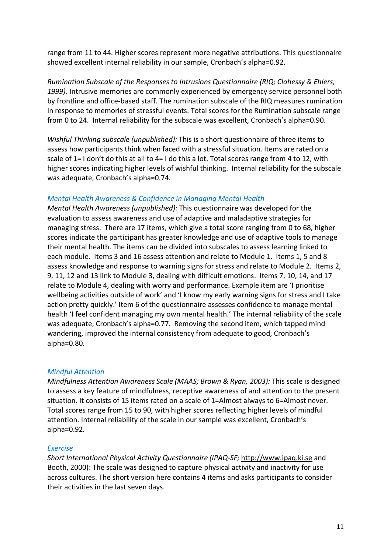range from 11 to 44. Higher scores represent more negative attributions. This questionnaire showed excellent internal reliability in our sample, Cronbach's alpha=0.92.

*Rumination Subscale of the Responses to Intrusions Questionnaire (RIQ; Clohessy & Ehlers, 1999).* Intrusive memories are commonly experienced by emergency service personnel both by frontline and office-based staff. The rumination subscale of the RIQ measures rumination in response to memories of stressful events. Total scores for the Rumination subscale range from 0 to 24. Internal reliability for the subscale was excellent, Cronbach's alpha=0.90.

*Wishful Thinking subscale (unpublished):* This is a short questionnaire of three items to assess how participants think when faced with a stressful situation. Items are rated on a scale of 1= I don't do this at all to 4= I do this a lot. Total scores range from 4 to 12, with higher scores indicating higher levels of wishful thinking. Internal reliability for the subscale was adequate, Cronbach's alpha=0.74.

### *Mental Health Awareness & Confidence in Managing Mental Health*

*Mental Health Awareness (unpublished):* This questionnaire was developed for the evaluation to assess awareness and use of adaptive and maladaptive strategies for managing stress. There are 17 items, which give a total score ranging from 0 to 68, higher scores indicate the participant has greater knowledge and use of adaptive tools to manage their mental health. The items can be divided into subscales to assess learning linked to each module. Items 3 and 16 assess attention and relate to Module 1. Items 1, 5 and 8 assess knowledge and response to warning signs for stress and relate to Module 2. Items 2, 9, 11, 12 and 13 link to Module 3, dealing with difficult emotions. Items 7, 10, 14, and 17 relate to Module 4, dealing with worry and performance. Example item are 'I prioritise wellbeing activities outside of work' and 'I know my early warning signs for stress and I take action pretty quickly.' Item 6 of the questionnaire assesses confidence to manage mental health 'I feel confident managing my own mental health.' The internal reliability of the scale was adequate, Cronbach's alpha=0.77. Removing the second item, which tapped mind wandering, improved the internal consistency from adequate to good, Cronbach's alpha=0.80.

### *Mindful Attention*

*Mindfulness Attention Awareness Scale (MAAS; Brown & Ryan, 2003):* This scale is designed to assess a key feature of mindfulness, receptive awareness of and attention to the present situation. It consists of 15 items rated on a scale of 1=Almost always to 6=Almost never. Total scores range from 15 to 90, with higher scores reflecting higher levels of mindful attention. Internal reliability of the scale in our sample was excellent, Cronbach's alpha=0.92.

### *Exercise*

*Short International Physical Activity Questionnaire (IPAQ-SF;* http://www.ipaq.ki.se and Booth, 2000): The scale was designed to capture physical activity and inactivity for use across cultures. The short version here contains 4 items and asks participants to consider their activities in the last seven days.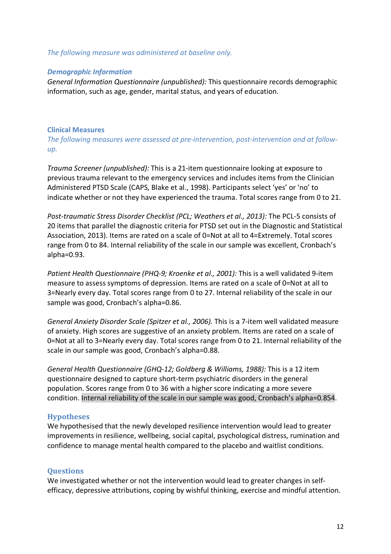#### *The following measure was administered at baseline only.*

#### *Demographic Information*

*General Information Questionnaire (unpublished):* This questionnaire records demographic information, such as age, gender, marital status, and years of education.

#### **Clinical Measures**

*The following measures were assessed at pre-intervention, post-intervention and at followup.*

*Trauma Screener (unpublished):* This is a 21-item questionnaire looking at exposure to previous trauma relevant to the emergency services and includes items from the Clinician Administered PTSD Scale (CAPS, Blake et al., 1998). Participants select 'yes' or 'no' to indicate whether or not they have experienced the trauma. Total scores range from 0 to 21.

*Post-traumatic Stress Disorder Checklist (PCL; Weathers et al., 2013):* The PCL-5 consists of 20 items that parallel the diagnostic criteria for PTSD set out in the Diagnostic and Statistical Association, 2013). Items are rated on a scale of 0=Not at all to 4=Extremely. Total scores range from 0 to 84. Internal reliability of the scale in our sample was excellent, Cronbach's alpha=0.93.

*Patient Health Questionnaire (PHQ-9; Kroenke et al., 2001):* This is a well validated 9-item measure to assess symptoms of depression. Items are rated on a scale of 0=Not at all to 3=Nearly every day. Total scores range from 0 to 27. Internal reliability of the scale in our sample was good, Cronbach's alpha=0.86.

*General Anxiety Disorder Scale (Spitzer et al., 2006).* This is a 7-item well validated measure of anxiety. High scores are suggestive of an anxiety problem. Items are rated on a scale of 0=Not at all to 3=Nearly every day. Total scores range from 0 to 21. Internal reliability of the scale in our sample was good, Cronbach's alpha=0.88.

*General Health Questionnaire (GHQ-12; Goldberg & Williams, 1988):* This is a 12 item questionnaire designed to capture short-term psychiatric disorders in the general population. Scores range from 0 to 36 with a higher score indicating a more severe condition. Internal reliability of the scale in our sample was good, Cronbach's alpha=0.854.

### **Hypotheses**

We hypothesised that the newly developed resilience intervention would lead to greater improvements in resilience, wellbeing, social capital, psychological distress, rumination and confidence to manage mental health compared to the placebo and waitlist conditions.

### **Questions**

We investigated whether or not the intervention would lead to greater changes in selfefficacy, depressive attributions, coping by wishful thinking, exercise and mindful attention.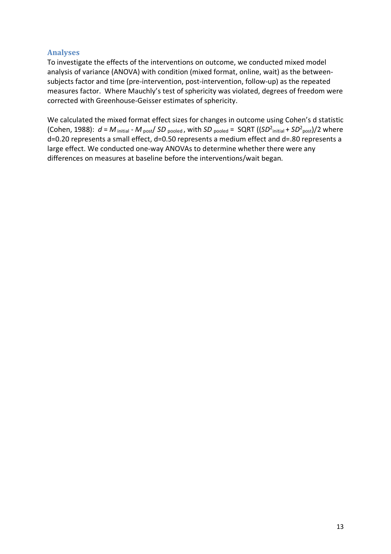### **Analyses**

To investigate the effects of the interventions on outcome, we conducted mixed model analysis of variance (ANOVA) with condition (mixed format, online, wait) as the betweensubjects factor and time (pre-intervention, post-intervention, follow-up) as the repeated measures factor. Where Mauchly's test of sphericity was violated, degrees of freedom were corrected with Greenhouse-Geisser estimates of sphericity.

We calculated the mixed format effect sizes for changes in outcome using Cohen's d statistic (Cohen, 1988):  $d = M_{initial} - M_{post} / SD_{pooled}$ , with *SD* <sub>pooled</sub> = SQRT ((*SD*<sup>2</sup><sub>initial</sub> + *SD*<sup>2</sup><sub>post</sub>)/2 where d=0.20 represents a small effect, d=0.50 represents a medium effect and d=.80 represents a large effect. We conducted one-way ANOVAs to determine whether there were any differences on measures at baseline before the interventions/wait began.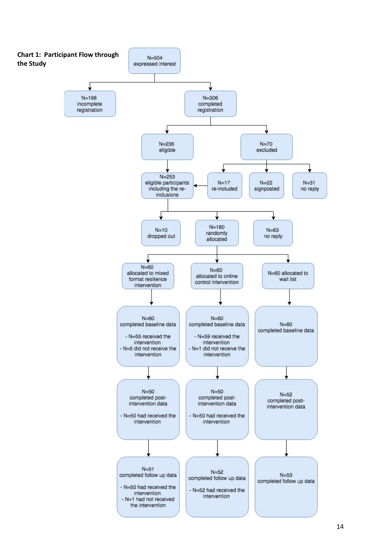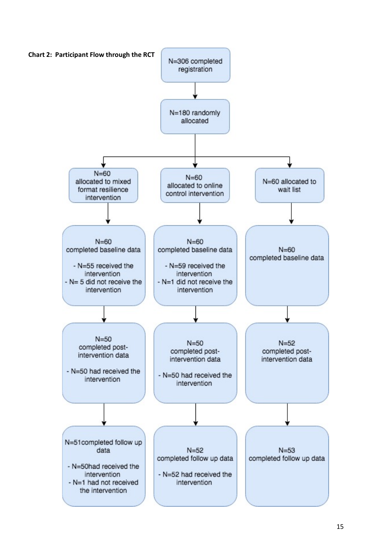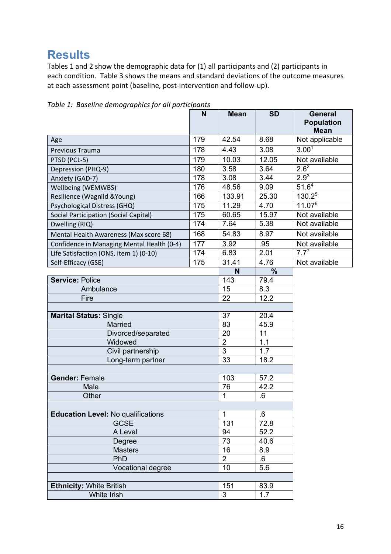# **Results**

Tables 1 and 2 show the demographic data for (1) all participants and (2) participants in each condition. Table 3 shows the means and standard deviations of the outcome measures at each assessment point (baseline, post-intervention and follow-up).

|                                            | N   | <b>Mean</b>    | <b>SD</b> | <b>General</b><br><b>Population</b><br><b>Mean</b> |
|--------------------------------------------|-----|----------------|-----------|----------------------------------------------------|
| Age                                        | 179 | 42.54          | 8.68      | Not applicable                                     |
| <b>Previous Trauma</b>                     | 178 | 4.43           | 3.08      | 3.00 <sup>1</sup>                                  |
| PTSD (PCL-5)                               | 179 | 10.03          | 12.05     | Not available                                      |
| Depression (PHQ-9)                         | 180 | 3.58           | 3.64      | $2.\overline{6^2}$                                 |
| Anxiety (GAD-7)                            | 178 | 3.08           | 3.44      | $2.9^{3}$                                          |
| Wellbeing (WEMWBS)                         | 176 | 48.56          | 9.09      | 51.6 <sup>4</sup>                                  |
| Resilience (Wagnild & Young)               | 166 | 133.91         | 25.30     | $130.2^{5}$                                        |
| Psychological Distress (GHQ)               | 175 | 11.29          | 4.70      | $11.07^6$                                          |
| Social Participation (Social Capital)      | 175 | 60.65          | 15.97     | Not available                                      |
| Dwelling (RIQ)                             | 174 | 7.64           | 5.38      | Not available                                      |
| Mental Health Awareness (Max score 68)     | 168 | 54.83          | 8.97      | Not available                                      |
| Confidence in Managing Mental Health (0-4) | 177 | 3.92           | .95       | Not available                                      |
| Life Satisfaction (ONS, item 1) (0-10)     | 174 | 6.83           | 2.01      | $7.7^{7}$                                          |
| Self-Efficacy (GSE)                        | 175 | 31.41          | 4.76      | Not available                                      |
|                                            |     | N              | %         |                                                    |
| <b>Service: Police</b>                     |     | 143            | 79.4      |                                                    |
| Ambulance                                  |     | 15             | 8.3       |                                                    |
| Fire                                       |     | 22             | 12.2      |                                                    |
|                                            |     |                |           |                                                    |
| <b>Marital Status: Single</b>              |     | 37             | 20.4      |                                                    |
| Married                                    |     | 83             | 45.9      |                                                    |
| Divorced/separated                         |     | 20             | 11        |                                                    |
| Widowed                                    |     | $\overline{2}$ | 1.1       |                                                    |
| Civil partnership                          |     | 3              | 1.7       |                                                    |
| Long-term partner                          |     | 33             | 18.2      |                                                    |
| <b>Gender: Female</b>                      |     | 103            | 57.2      |                                                    |
| Male                                       |     | 76             | 42.2      |                                                    |
| Other                                      |     | 1              | 6.6       |                                                    |
|                                            |     |                |           |                                                    |
| <b>Education Level: No qualifications</b>  |     | 1              | $6 \cdot$ |                                                    |
| <b>GCSE</b>                                |     | 131            | 72.8      |                                                    |
| A Level                                    | 94  | 52.2           |           |                                                    |
| Degree                                     | 73  | 40.6           |           |                                                    |
| <b>Masters</b>                             | 16  | 8.9            |           |                                                    |
| PhD                                        |     | $\overline{2}$ | $6 \cdot$ |                                                    |
| Vocational degree                          |     | 10             | 5.6       |                                                    |
|                                            |     |                |           |                                                    |
| <b>Ethnicity: White British</b>            |     | 151            | 83.9      |                                                    |
| White Irish                                |     | $\mathfrak{S}$ | 1.7       |                                                    |

*Table 1: Baseline demographics for all participants*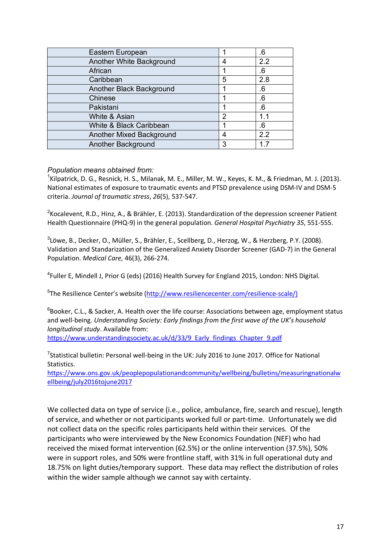| Eastern European         |   | .6  |
|--------------------------|---|-----|
| Another White Background |   | 2.2 |
| African                  |   | .6  |
| Caribbean                | 5 | 2.8 |
| Another Black Background |   | .6  |
| Chinese                  |   | .6  |
| Pakistani                |   | .6  |
| White & Asian            | 2 | 11  |
| White & Black Caribbean  |   | .6  |
| Another Mixed Background |   | 2.2 |
| Another Background       | 3 |     |

### *Population means obtained from:*

<sup>1</sup>Kilpatrick, D. G., Resnick, H. S., Milanak, M. E., Miller, M. W., Keyes, K. M., & Friedman, M. J. (2013). National estimates of exposure to traumatic events and PTSD prevalence using DSM-IV and DSM-5 criteria. *Journal of traumatic stress*, *26*(5), 537-547.

<sup>2</sup> Kocalevent, R.D., Hinz, A., & Brähler, E. (2013). Standardization of the depression screener Patient Health Questionnaire (PHQ-9) in the general population. *General Hospital Psychiatry 35*, 551-555.

 $^3$ Löwe, B., Decker, O., Müller, S., Brähler, E., Scellberg, D., Herzog, W., & Herzberg, P.Y. (2008). Validation and Standarization of the Generalized Anxiety Disorder Screener (GAD-7) in the General Population. *Medical Care,* 46(3), 266-274.

4 Fuller E, Mindell J, Prior G (eds) (2016) Health Survey for England 2015, London: NHS Digital.

<sup>5</sup>The Resilience Center's website (<u>http://www.resiliencecenter.com/resilience-scale/)</u>

6 Booker, C.L., & Sacker, A. Health over the life course: Associations between age, employment status and well-being. *Understanding Society: Early findings from the first wave of the UK's household longitudinal study*. Available from:

https://www.understandingsociety.ac.uk/d/33/9\_Early\_findings\_Chapter\_9.pdf

<sup>7</sup>Statistical bulletin: Personal well-being in the UK: July 2016 to June 2017. Office for National Statistics.

https://www.ons.gov.uk/peoplepopulationandcommunity/wellbeing/bulletins/measuringnationalw ellbeing/july2016tojune2017

We collected data on type of service (i.e., police, ambulance, fire, search and rescue), length of service, and whether or not participants worked full or part-time. Unfortunately we did not collect data on the specific roles participants held within their services. Of the participants who were interviewed by the New Economics Foundation (NEF) who had received the mixed format intervention (62.5%) or the online intervention (37.5%), 50% were in support roles, and 50% were frontline staff, with 31% in full operational duty and 18.75% on light duties/temporary support. These data may reflect the distribution of roles within the wider sample although we cannot say with certainty.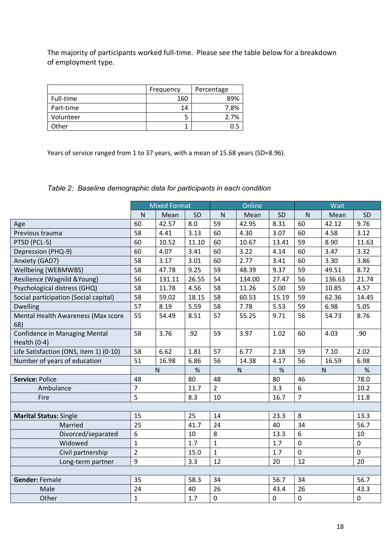The majority of participants worked full-time. Please see the table below for a breakdown of employment type.

|           | Frequency | Percentage |
|-----------|-----------|------------|
| Full-time | 160       | 89%        |
| Part-time | 14        | 7.8%       |
| Volunteer |           | 2.7%       |
| Other     |           |            |

Years of service ranged from 1 to 37 years, with a mean of 15.68 years (SD=8.96).

*Table 2: Baseline demographic data for participants in each condition*

|                                                      | <b>Mixed Format</b> |        | Online    |                |        | Wait      |                |        |             |
|------------------------------------------------------|---------------------|--------|-----------|----------------|--------|-----------|----------------|--------|-------------|
|                                                      | $\mathsf{N}$        | Mean   | <b>SD</b> | N              | Mean   | <b>SD</b> | N              | Mean   | <b>SD</b>   |
| Age                                                  | 60                  | 42.57  | 8.0       | 59             | 42.95  | 8.31      | 60             | 42.12  | 9.76        |
| Previous trauma                                      | 58                  | 4.41   | 3.13      | 60             | 4.30   | 3.07      | 60             | 4.58   | 3.12        |
| PTSD (PCL-5)                                         | 60                  | 10.52  | 11.10     | 60             | 10.67  | 13.41     | 59             | 8.90   | 11.63       |
| Depression (PHQ-9)                                   | 60                  | 4.07   | 3.41      | 60             | 3.22   | 4.14      | 60             | 3.47   | 3.32        |
| Anxiety (GAD7)                                       | 58                  | 3.17   | 3.01      | 60             | 2.77   | 3.41      | 60             | 3.30   | 3.86        |
| Wellbeing (WEBMWBS)                                  | 58                  | 47.78  | 9.25      | 59             | 48.39  | 9.37      | 59             | 49.51  | 8.72        |
| Resilience (Wagnild & Young)                         | 56                  | 131.11 | 26.55     | 54             | 134.00 | 27.47     | 56             | 136.63 | 21.74       |
| Psychological distress (GHQ)                         | 58                  | 11.78  | 4.56      | 58             | 11.26  | 5.00      | 59             | 10.85  | 4.57        |
| Social participation (Social capital)                | 58                  | 59.02  | 18.15     | 58             | 60.53  | 15.19     | 59             | 62.36  | 14.45       |
| <b>Dwelling</b>                                      | 57                  | 8.19   | 5.59      | 58             | 7.78   | 5.53      | 59             | 6.98   | 5.05        |
| Mental Health Awareness (Max score<br>68)            | 55                  | 54.49  | 8.51      | 57             | 55.25  | 9.71      | 56             | 54.73  | 8.76        |
| <b>Confidence in Managing Mental</b><br>Health (0-4) | 58                  | 3.76   | .92       | 59             | 3.97   | 1.02      | 60             | 4.03   | .90         |
| Life Satisfaction (ONS, item 1) (0-10)               | 58                  | 6.62   | 1.81      | 57             | 6.77   | 2.18      | 59             | 7.10   | 2.02        |
| Number of years of education                         | 51                  | 16.98  | 6.86      | 56             | 14.38  | 4.17      | 56             | 16.59  | 6.98        |
|                                                      | $\mathsf{N}$        |        | %         | N              |        | %         |                | N      | %           |
| Service: Police                                      | 48                  |        | 80        | 48             |        | 80        | 46             |        | 78.0        |
| Ambulance                                            | $\overline{7}$      |        | 11.7      | $\overline{2}$ |        | 3.3       | 6              |        | 10.2        |
| Fire                                                 | 5                   |        | 8.3       | 10             |        | 16.7      | $\overline{7}$ |        | 11.8        |
|                                                      |                     |        |           |                |        |           |                |        |             |
| <b>Marital Status: Single</b>                        | 15                  |        | 25        | 14             |        | 23.3      | 8              |        | 13.3        |
| Married                                              | 25                  |        | 41.7      | 24             |        | 40        | 34             |        | 56.7        |
| Divorced/separated                                   | 6                   |        | 10        | 8              |        | 13.3      | 6              |        | 10          |
| Widowed                                              | $\mathbf{1}$        |        | 1.7       | $\mathbf{1}$   |        | 1.7       | $\mathbf 0$    |        | $\mathbf 0$ |
| Civil partnership                                    | $\overline{2}$      |        | 15.0      | $\mathbf{1}$   |        | 1.7       | $\mathbf 0$    |        | $\mathbf 0$ |
| Long-term partner                                    | 9                   |        | 3.3       | 12             |        | 20        | 12             |        | 20          |
|                                                      |                     |        |           |                |        |           |                |        |             |
| <b>Gender: Female</b>                                | 35                  |        | 58.3      | 34             |        | 56.7      | 34             |        | 56.7        |
| Male                                                 | 24                  |        | 40        | 26             |        | 43.4      | 26             |        | 43.3        |
| Other                                                | $\mathbf{1}$        |        | 1.7       | $\mathbf 0$    |        | 0         | $\mathbf 0$    |        | $\pmb{0}$   |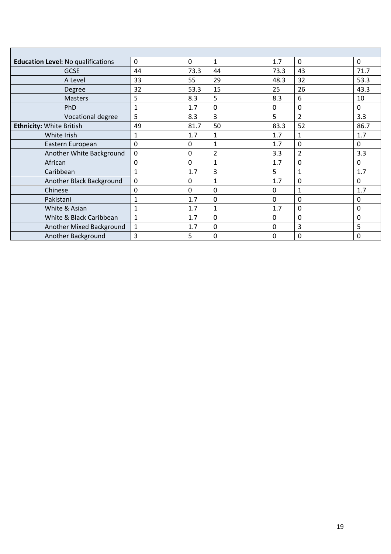| <b>Education Level: No qualifications</b> | 0            | $\mathbf{0}$ | $\mathbf{1}$   | 1.7  | 0              | $\mathbf 0$ |
|-------------------------------------------|--------------|--------------|----------------|------|----------------|-------------|
| <b>GCSE</b>                               | 44           | 73.3         | 44             | 73.3 | 43             | 71.7        |
| A Level                                   | 33           | 55           | 29             | 48.3 | 32             | 53.3        |
| Degree                                    | 32           | 53.3         | 15             | 25   | 26             | 43.3        |
| <b>Masters</b>                            | 5            | 8.3          | 5              | 8.3  | 6              | 10          |
| PhD                                       | $\mathbf{1}$ | 1.7          | $\mathbf 0$    | 0    | 0              | $\mathbf 0$ |
| Vocational degree                         | 5            | 8.3          | 3              | 5    | $\overline{2}$ | 3.3         |
| <b>Ethnicity: White British</b>           | 49           | 81.7         | 50             | 83.3 | 52             | 86.7        |
| White Irish                               | 1            | 1.7          | 1              | 1.7  | $\mathbf{1}$   | 1.7         |
| Eastern European                          | $\mathbf 0$  | $\mathbf 0$  | $\mathbf{1}$   | 1.7  | 0              | $\mathbf 0$ |
| Another White Background                  | $\mathbf 0$  | 0            | $\overline{2}$ | 3.3  | $\overline{2}$ | 3.3         |
| African                                   | $\mathbf{0}$ | $\mathbf 0$  | $\mathbf{1}$   | 1.7  | 0              | $\mathbf 0$ |
| Caribbean                                 | $\mathbf{1}$ | 1.7          | 3              | 5    | $\mathbf 1$    | 1.7         |
| Another Black Background                  | 0            | 0            | $\mathbf{1}$   | 1.7  | 0              | $\mathbf 0$ |
| Chinese                                   | $\mathbf 0$  | $\mathbf 0$  | $\mathbf 0$    | 0    | $\mathbf 1$    | 1.7         |
| Pakistani                                 | $\mathbf{1}$ | 1.7          | $\mathbf 0$    | 0    | 0              | 0           |
| White & Asian                             | 1            | 1.7          | $\mathbf{1}$   | 1.7  | 0              | 0           |
| White & Black Caribbean                   | $\mathbf{1}$ | 1.7          | $\mathbf 0$    | 0    | 0              | 0           |
| Another Mixed Background                  | $\mathbf{1}$ | 1.7          | $\mathbf 0$    | 0    | 3              | 5           |
| Another Background                        | 3            | 5            | $\Omega$       | 0    | 0              | 0           |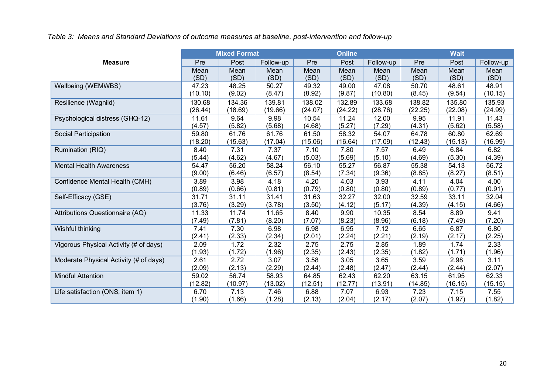### *Table 3: Means and Standard Deviations of outcome measures at baseline, post-intervention and follow-up*

|                                        | <b>Mixed Format</b> |         |           |         | <b>Online</b> |           | <b>Wait</b> |         |           |
|----------------------------------------|---------------------|---------|-----------|---------|---------------|-----------|-------------|---------|-----------|
| <b>Measure</b>                         | Pre                 | Post    | Follow-up | Pre     | Post          | Follow-up | Pre         | Post    | Follow-up |
|                                        | Mean                | Mean    | Mean      | Mean    | Mean          | Mean      | Mean        | Mean    | Mean      |
|                                        | (SD)                | (SD)    | (SD)      | (SD)    | (SD)          | (SD)      | (SD)        | (SD)    | (SD)      |
| Wellbeing (WEMWBS)                     | 47.23               | 48.25   | 50.27     | 49.32   | 49.00         | 47.08     | 50.70       | 48.61   | 48.91     |
|                                        | (10.10)             | (9.02)  | (8.47)    | (8.92)  | (9.87)        | (10.80)   | (8.45)      | (9.54)  | (10.15)   |
| Resilience (Wagnild)                   | 130.68              | 134.36  | 139.81    | 138.02  | 132.89        | 133.68    | 138.82      | 135.80  | 135.93    |
|                                        | (26.44)             | (18.69) | (19.66)   | (24.07) | (24.22)       | (28.76)   | (22.25)     | (22.08) | (24.99)   |
| Psychological distress (GHQ-12)        | 11.61               | 9.64    | 9.98      | 10.54   | 11.24         | 12.00     | 9.95        | 11.91   | 11.43     |
|                                        | (4.57)              | (5.82)  | (5.68)    | (4.68)  | (5.27)        | (7.29)    | (4.31)      | (5.62)  | (5.58)    |
| Social Participation                   | 59.80               | 61.76   | 61.76     | 61.50   | 58.32         | 54.07     | 64.78       | 60.80   | 62.69     |
|                                        | (18.20)             | (15.63) | (17.04)   | (15.06) | (16.64)       | (17.09)   | (12.43)     | (15.13) | (16.99)   |
| Rumination (RIQ)                       | 8.40                | 7.31    | 7.37      | 7.10    | 7.80          | 7.57      | 6.49        | 6.84    | 6.82      |
|                                        | (5.44)              | (4.62)  | (4.67)    | (5.03)  | (5.69)        | (5.10)    | (4.69)      | (5.30)  | (4.39)    |
| <b>Mental Health Awareness</b>         | 54.47               | 56.20   | 58.24     | 56.10   | 55.27         | 56.87     | 55.38       | 54.13   | 56.72     |
|                                        | (9.00)              | (6.46)  | (6.57)    | (8.54)  | (7.34)        | (9.36)    | (8.85)      | (8.27)  | (8.51)    |
| Confidence Mental Health (CMH)         | 3.89                | 3.98    | 4.18      | 4.20    | 4.03          | 3.93      | 4.11        | 4.04    | 4.00      |
|                                        | (0.89)              | (0.66)  | (0.81)    | (0.79)  | (0.80)        | (0.80)    | (0.89)      | (0.77)  | (0.91)    |
| Self-Efficacy (GSE)                    | 31.71               | 31.11   | 31.41     | 31.63   | 32.27         | 32.00     | 32.59       | 33.11   | 32.04     |
|                                        | (3.76)              | (3.29)  | (3.78)    | (3.50)  | (4.12)        | (5.17)    | (4.39)      | (4.15)  | (4.66)    |
| Attributions Questionnaire (AQ)        | 11.33               | 11.74   | 11.65     | 8.40    | 9.90          | 10.35     | 8.54        | 8.89    | 9.41      |
|                                        | (7.49)              | (7.81)  | (8.20)    | (7.07)  | (8.23)        | (8.96)    | (6.18)      | (7.49)  | (7.20)    |
| Wishful thinking                       | 7.41                | 7.30    | 6.98      | 6.98    | 6.95          | 7.12      | 6.65        | 6.87    | 6.80      |
|                                        | (2.41)              | (2.33)  | (2.34)    | (2.01)  | (2.24)        | (2.21)    | (2.19)      | (2.17)  | (2.25)    |
| Vigorous Physical Activity (# of days) | 2.09                | 1.72    | 2.32      | 2.75    | 2.75          | 2.85      | 1.89        | 1.74    | 2.33      |
|                                        | (1.93)              | (1.72)  | (1.96)    | (2.35)  | (2.43)        | (2.35)    | (1.82)      | (1.71)  | (1.96)    |
| Moderate Physical Activity (# of days) | 2.61                | 2.72    | 3.07      | 3.58    | 3.05          | 3.65      | 3.59        | 2.98    | 3.11      |
|                                        | (2.09)              | (2.13)  | (2.29)    | (2.44)  | (2.48)        | (2.47)    | (2.44)      | (2.44)  | (2.07)    |
| <b>Mindful Attention</b>               | 59.02               | 56.74   | 58.93     | 64.85   | 62.43         | 62.20     | 63.15       | 61.95   | 62.33     |
|                                        | (12.82)             | (10.97) | (13.02)   | (12.51) | (12.77)       | (13.91)   | (14.85)     | (16.15) | (15.15)   |
| Life satisfaction (ONS, item 1)        | 6.70                | 7.13    | 7.46      | 6.88    | 7.07          | 6.93      | 7.23        | 7.15    | 7.55      |
|                                        | (1.90)              | (1.66)  | (1.28)    | (2.13)  | (2.04)        | (2.17)    | (2.07)      | (1.97)  | (1.82)    |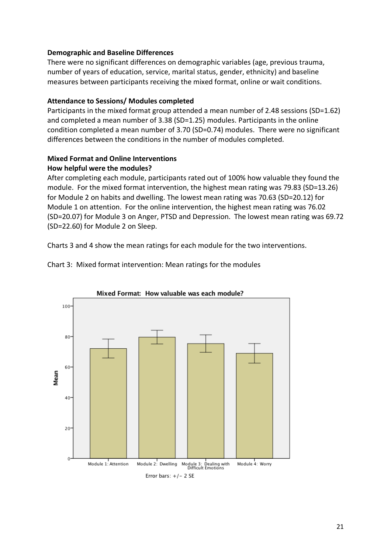### **Demographic and Baseline Differences**

There were no significant differences on demographic variables (age, previous trauma, number of years of education, service, marital status, gender, ethnicity) and baseline measures between participants receiving the mixed format, online or wait conditions.

### **Attendance to Sessions/ Modules completed**

Participants in the mixed format group attended a mean number of 2.48 sessions (SD=1.62) and completed a mean number of 3.38 (SD=1.25) modules. Participants in the online condition completed a mean number of 3.70 (SD=0.74) modules. There were no significant differences between the conditions in the number of modules completed.

### **Mixed Format and Online Interventions How helpful were the modules?**

After completing each module, participants rated out of 100% how valuable they found the module. For the mixed format intervention, the highest mean rating was 79.83 (SD=13.26) for Module 2 on habits and dwelling. The lowest mean rating was 70.63 (SD=20.12) for Module 1 on attention. For the online intervention, the highest mean rating was 76.02 (SD=20.07) for Module 3 on Anger, PTSD and Depression. The lowest mean rating was 69.72 (SD=22.60) for Module 2 on Sleep.

Charts 3 and 4 show the mean ratings for each module for the two interventions.

Chart 3: Mixed format intervention: Mean ratings for the modules

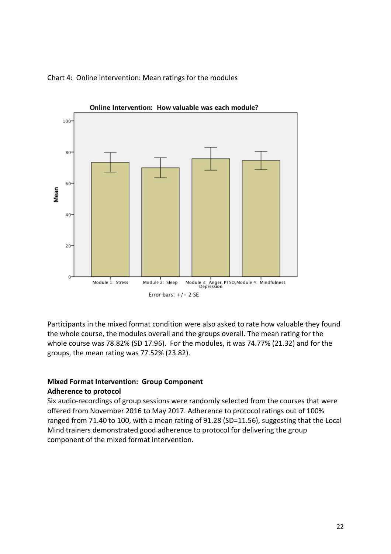

Chart 4: Online intervention: Mean ratings for the modules

Participants in the mixed format condition were also asked to rate how valuable they found the whole course, the modules overall and the groups overall. The mean rating for the whole course was 78.82% (SD 17.96). For the modules, it was 74.77% (21.32) and for the groups, the mean rating was 77.52% (23.82).

## **Mixed Format Intervention: Group Component**

### **Adherence to protocol**

Six audio-recordings of group sessions were randomly selected from the courses that were offered from November 2016 to May 2017. Adherence to protocol ratings out of 100% ranged from 71.40 to 100, with a mean rating of 91.28 (SD=11.56), suggesting that the Local Mind trainers demonstrated good adherence to protocol for delivering the group component of the mixed format intervention.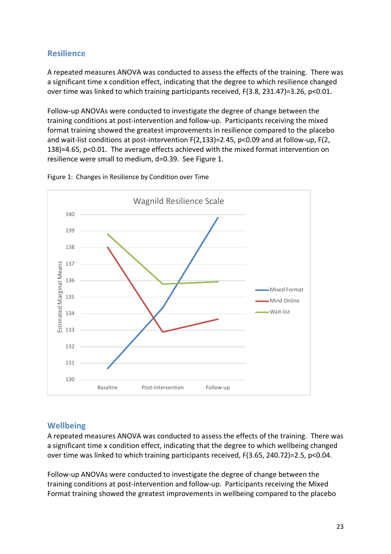### **Resilience**

A repeated measures ANOVA was conducted to assess the effects of the training. There was a significant time x condition effect, indicating that the degree to which resilience changed over time was linked to which training participants received, F(3.8, 231.47)=3.26, p<0.01.

Follow-up ANOVAs were conducted to investigate the degree of change between the training conditions at post-intervention and follow-up. Participants receiving the mixed format training showed the greatest improvements in resilience compared to the placebo and wait-list conditions at post-intervention F(2,133)=2.45, p<0.09 and at follow-up, F(2, 138)=4.65, p<0.01. The average effects achieved with the mixed format intervention on resilience were small to medium, d=0.39. See Figure 1.





### **Wellbeing**

A repeated measures ANOVA was conducted to assess the effects of the training. There was a significant time x condition effect, indicating that the degree to which wellbeing changed over time was linked to which training participants received, F(3.65, 240.72)=2.5, p<0.04.

Follow-up ANOVAs were conducted to investigate the degree of change between the training conditions at post-intervention and follow-up. Participants receiving the Mixed Format training showed the greatest improvements in wellbeing compared to the placebo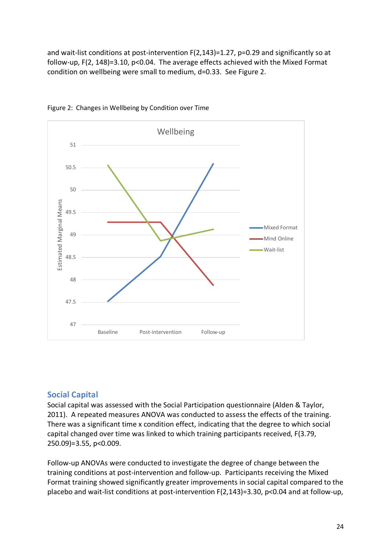and wait-list conditions at post-intervention F(2,143)=1.27, p=0.29 and significantly so at follow-up, F(2, 148)=3.10, p<0.04. The average effects achieved with the Mixed Format condition on wellbeing were small to medium, d=0.33. See Figure 2.



Figure 2: Changes in Wellbeing by Condition over Time

### **Social Capital**

Social capital was assessed with the Social Participation questionnaire (Alden & Taylor, 2011). A repeated measures ANOVA was conducted to assess the effects of the training. There was a significant time x condition effect, indicating that the degree to which social capital changed over time was linked to which training participants received, F(3.79, 250.09)=3.55, p<0.009.

Follow-up ANOVAs were conducted to investigate the degree of change between the training conditions at post-intervention and follow-up. Participants receiving the Mixed Format training showed significantly greater improvements in social capital compared to the placebo and wait-list conditions at post-intervention F(2,143)=3.30, p<0.04 and at follow-up,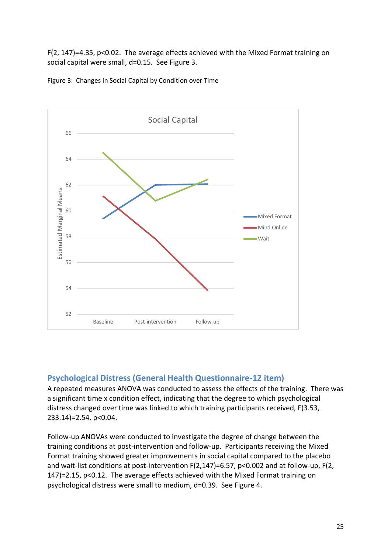F(2, 147)=4.35, p<0.02. The average effects achieved with the Mixed Format training on social capital were small, d=0.15. See Figure 3.

Figure 3: Changes in Social Capital by Condition over Time



### **Psychological Distress (General Health Questionnaire-12 item)**

A repeated measures ANOVA was conducted to assess the effects of the training. There was a significant time x condition effect, indicating that the degree to which psychological distress changed over time was linked to which training participants received, F(3.53, 233.14)=2.54, p<0.04.

Follow-up ANOVAs were conducted to investigate the degree of change between the training conditions at post-intervention and follow-up. Participants receiving the Mixed Format training showed greater improvements in social capital compared to the placebo and wait-list conditions at post-intervention F(2,147)=6.57, p<0.002 and at follow-up, F(2, 147)=2.15, p<0.12. The average effects achieved with the Mixed Format training on psychological distress were small to medium, d=0.39. See Figure 4.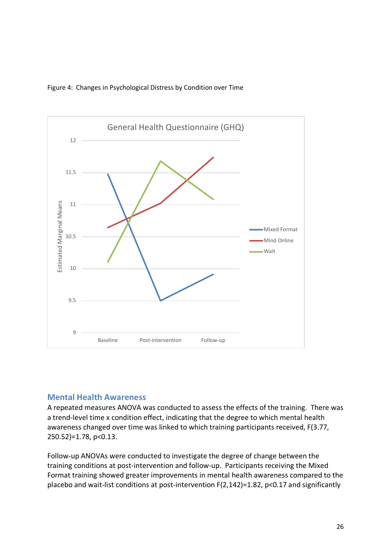

### Figure 4: Changes in Psychological Distress by Condition over Time

### **Mental Health Awareness**

A repeated measures ANOVA was conducted to assess the effects of the training. There was a trend-level time x condition effect, indicating that the degree to which mental health awareness changed over time was linked to which training participants received, F(3.77, 250.52)=1.78, p<0.13.

Follow-up ANOVAs were conducted to investigate the degree of change between the training conditions at post-intervention and follow-up. Participants receiving the Mixed Format training showed greater improvements in mental health awareness compared to the placebo and wait-list conditions at post-intervention F(2,142)=1.82, p<0.17 and significantly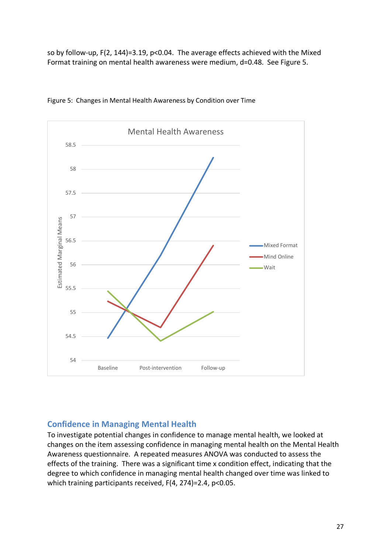so by follow-up, F(2, 144)=3.19, p<0.04. The average effects achieved with the Mixed Format training on mental health awareness were medium, d=0.48. See Figure 5.



Figure 5: Changes in Mental Health Awareness by Condition over Time

### **Confidence in Managing Mental Health**

To investigate potential changes in confidence to manage mental health, we looked at changes on the item assessing confidence in managing mental health on the Mental Health Awareness questionnaire. A repeated measures ANOVA was conducted to assess the effects of the training. There was a significant time x condition effect, indicating that the degree to which confidence in managing mental health changed over time was linked to which training participants received, F(4, 274)=2.4, p<0.05.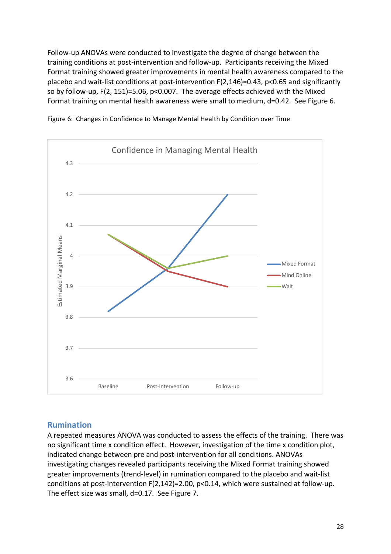Follow-up ANOVAs were conducted to investigate the degree of change between the training conditions at post-intervention and follow-up. Participants receiving the Mixed Format training showed greater improvements in mental health awareness compared to the placebo and wait-list conditions at post-intervention F(2,146)=0.43, p<0.65 and significantly so by follow-up, F(2, 151)=5.06, p<0.007. The average effects achieved with the Mixed Format training on mental health awareness were small to medium, d=0.42. See Figure 6.



Figure 6: Changes in Confidence to Manage Mental Health by Condition over Time

### **Rumination**

A repeated measures ANOVA was conducted to assess the effects of the training. There was no significant time x condition effect. However, investigation of the time x condition plot, indicated change between pre and post-intervention for all conditions. ANOVAs investigating changes revealed participants receiving the Mixed Format training showed greater improvements (trend-level) in rumination compared to the placebo and wait-list conditions at post-intervention F(2,142)=2.00, p<0.14, which were sustained at follow-up. The effect size was small, d=0.17. See Figure 7.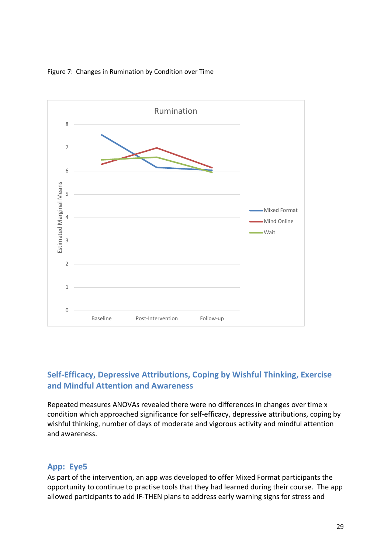

### Figure 7: Changes in Rumination by Condition over Time

### **Self-Efficacy, Depressive Attributions, Coping by Wishful Thinking, Exercise and Mindful Attention and Awareness**

Repeated measures ANOVAs revealed there were no differences in changes over time x condition which approached significance for self-efficacy, depressive attributions, coping by wishful thinking, number of days of moderate and vigorous activity and mindful attention and awareness.

### **App: Eye5**

As part of the intervention, an app was developed to offer Mixed Format participants the opportunity to continue to practise tools that they had learned during their course. The app allowed participants to add IF-THEN plans to address early warning signs for stress and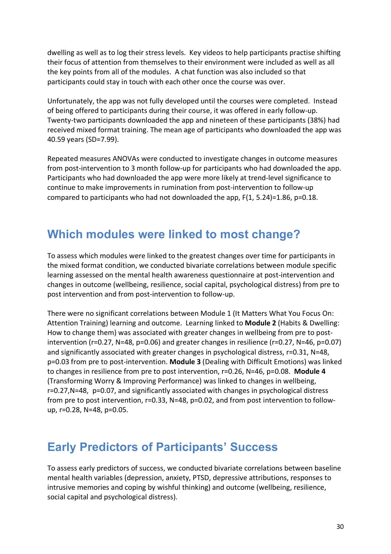dwelling as well as to log their stress levels. Key videos to help participants practise shifting their focus of attention from themselves to their environment were included as well as all the key points from all of the modules. A chat function was also included so that participants could stay in touch with each other once the course was over.

Unfortunately, the app was not fully developed until the courses were completed. Instead of being offered to participants during their course, it was offered in early follow-up. Twenty-two participants downloaded the app and nineteen of these participants (38%) had received mixed format training. The mean age of participants who downloaded the app was 40.59 years (SD=7.99).

Repeated measures ANOVAs were conducted to investigate changes in outcome measures from post-intervention to 3 month follow-up for participants who had downloaded the app. Participants who had downloaded the app were more likely at trend-level significance to continue to make improvements in rumination from post-intervention to follow-up compared to participants who had not downloaded the app,  $F(1, 5.24)=1.86$ ,  $p=0.18$ .

# **Which modules were linked to most change?**

To assess which modules were linked to the greatest changes over time for participants in the mixed format condition, we conducted bivariate correlations between module specific learning assessed on the mental health awareness questionnaire at post-intervention and changes in outcome (wellbeing, resilience, social capital, psychological distress) from pre to post intervention and from post-intervention to follow-up.

There were no significant correlations between Module 1 (It Matters What You Focus On: Attention Training) learning and outcome. Learning linked to **Module 2** (Habits & Dwelling: How to change them) was associated with greater changes in wellbeing from pre to postintervention (r=0.27, N=48, p=0.06) and greater changes in resilience (r=0.27, N=46, p=0.07) and significantly associated with greater changes in psychological distress, r=0.31, N=48, p=0.03 from pre to post-intervention. **Module 3** (Dealing with Difficult Emotions) was linked to changes in resilience from pre to post intervention, r=0.26, N=46, p=0.08. **Module 4** (Transforming Worry & Improving Performance) was linked to changes in wellbeing, r=0.27,N=48, p=0.07, and significantly associated with changes in psychological distress from pre to post intervention, r=0.33, N=48, p=0.02, and from post intervention to followup, r=0.28, N=48, p=0.05.

# **Early Predictors of Participants' Success**

To assess early predictors of success, we conducted bivariate correlations between baseline mental health variables (depression, anxiety, PTSD, depressive attributions, responses to intrusive memories and coping by wishful thinking) and outcome (wellbeing, resilience, social capital and psychological distress).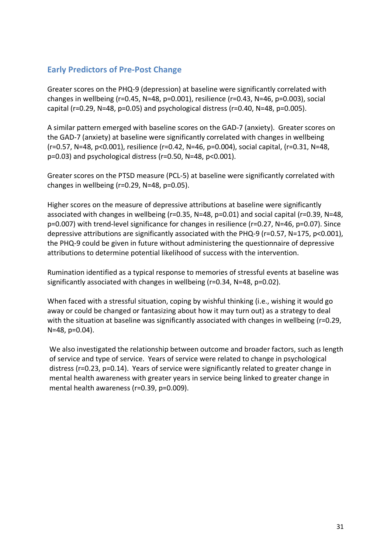### **Early Predictors of Pre-Post Change**

Greater scores on the PHQ-9 (depression) at baseline were significantly correlated with changes in wellbeing (r=0.45, N=48, p=0.001), resilience (r=0.43, N=46, p=0.003), social capital (r=0.29, N=48, p=0.05) and psychological distress (r=0.40, N=48, p=0.005).

A similar pattern emerged with baseline scores on the GAD-7 (anxiety). Greater scores on the GAD-7 (anxiety) at baseline were significantly correlated with changes in wellbeing (r=0.57, N=48, p<0.001), resilience (r=0.42, N=46, p=0.004), social capital, (r=0.31, N=48, p=0.03) and psychological distress (r=0.50, N=48, p<0.001).

Greater scores on the PTSD measure (PCL-5) at baseline were significantly correlated with changes in wellbeing ( $r=0.29$ ,  $N=48$ ,  $p=0.05$ ).

Higher scores on the measure of depressive attributions at baseline were significantly associated with changes in wellbeing (r=0.35, N=48, p=0.01) and social capital (r=0.39, N=48, p=0.007) with trend-level significance for changes in resilience (r=0.27, N=46, p=0.07). Since depressive attributions are significantly associated with the PHQ-9 (r=0.57, N=175, p<0.001), the PHQ-9 could be given in future without administering the questionnaire of depressive attributions to determine potential likelihood of success with the intervention.

Rumination identified as a typical response to memories of stressful events at baseline was significantly associated with changes in wellbeing (r=0.34, N=48, p=0.02).

When faced with a stressful situation, coping by wishful thinking (i.e., wishing it would go away or could be changed or fantasizing about how it may turn out) as a strategy to deal with the situation at baseline was significantly associated with changes in wellbeing (r=0.29, N=48, p=0.04).

We also investigated the relationship between outcome and broader factors, such as length of service and type of service. Years of service were related to change in psychological distress (r=0.23, p=0.14). Years of service were significantly related to greater change in mental health awareness with greater years in service being linked to greater change in mental health awareness (r=0.39, p=0.009).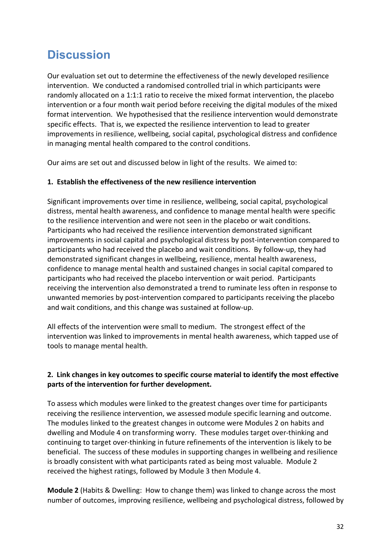# **Discussion**

Our evaluation set out to determine the effectiveness of the newly developed resilience intervention. We conducted a randomised controlled trial in which participants were randomly allocated on a 1:1:1 ratio to receive the mixed format intervention, the placebo intervention or a four month wait period before receiving the digital modules of the mixed format intervention. We hypothesised that the resilience intervention would demonstrate specific effects. That is, we expected the resilience intervention to lead to greater improvements in resilience, wellbeing, social capital, psychological distress and confidence in managing mental health compared to the control conditions.

Our aims are set out and discussed below in light of the results. We aimed to:

### **1. Establish the effectiveness of the new resilience intervention**

Significant improvements over time in resilience, wellbeing, social capital, psychological distress, mental health awareness, and confidence to manage mental health were specific to the resilience intervention and were not seen in the placebo or wait conditions. Participants who had received the resilience intervention demonstrated significant improvements in social capital and psychological distress by post-intervention compared to participants who had received the placebo and wait conditions. By follow-up, they had demonstrated significant changes in wellbeing, resilience, mental health awareness, confidence to manage mental health and sustained changes in social capital compared to participants who had received the placebo intervention or wait period. Participants receiving the intervention also demonstrated a trend to ruminate less often in response to unwanted memories by post-intervention compared to participants receiving the placebo and wait conditions, and this change was sustained at follow-up.

All effects of the intervention were small to medium. The strongest effect of the intervention was linked to improvements in mental health awareness, which tapped use of tools to manage mental health.

### **2. Link changes in key outcomes to specific course material to identify the most effective parts of the intervention for further development.**

To assess which modules were linked to the greatest changes over time for participants receiving the resilience intervention, we assessed module specific learning and outcome. The modules linked to the greatest changes in outcome were Modules 2 on habits and dwelling and Module 4 on transforming worry. These modules target over-thinking and continuing to target over-thinking in future refinements of the intervention is likely to be beneficial. The success of these modules in supporting changes in wellbeing and resilience is broadly consistent with what participants rated as being most valuable. Module 2 received the highest ratings, followed by Module 3 then Module 4.

**Module 2** (Habits & Dwelling: How to change them) was linked to change across the most number of outcomes, improving resilience, wellbeing and psychological distress, followed by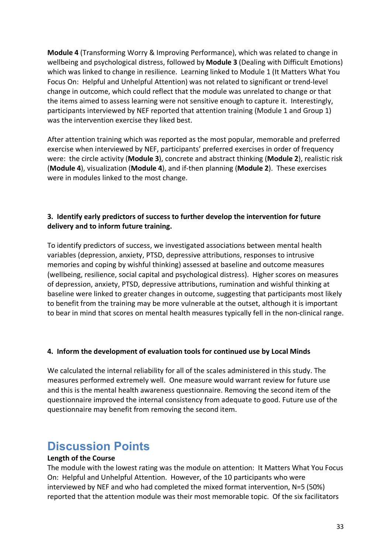**Module 4** (Transforming Worry & Improving Performance), which was related to change in wellbeing and psychological distress, followed by **Module 3** (Dealing with Difficult Emotions) which was linked to change in resilience. Learning linked to Module 1 (It Matters What You Focus On: Helpful and Unhelpful Attention) was not related to significant or trend-level change in outcome, which could reflect that the module was unrelated to change or that the items aimed to assess learning were not sensitive enough to capture it. Interestingly, participants interviewed by NEF reported that attention training (Module 1 and Group 1) was the intervention exercise they liked best.

After attention training which was reported as the most popular, memorable and preferred exercise when interviewed by NEF, participants' preferred exercises in order of frequency were: the circle activity (**Module 3**), concrete and abstract thinking (**Module 2**), realistic risk (**Module 4**), visualization (**Module 4**), and if-then planning (**Module 2**). These exercises were in modules linked to the most change.

### **3. Identify early predictors of success to further develop the intervention for future delivery and to inform future training.**

To identify predictors of success, we investigated associations between mental health variables (depression, anxiety, PTSD, depressive attributions, responses to intrusive memories and coping by wishful thinking) assessed at baseline and outcome measures (wellbeing, resilience, social capital and psychological distress). Higher scores on measures of depression, anxiety, PTSD, depressive attributions, rumination and wishful thinking at baseline were linked to greater changes in outcome, suggesting that participants most likely to benefit from the training may be more vulnerable at the outset, although it is important to bear in mind that scores on mental health measures typically fell in the non-clinical range.

### **4. Inform the development of evaluation tools for continued use by Local Minds**

We calculated the internal reliability for all of the scales administered in this study. The measures performed extremely well. One measure would warrant review for future use and this is the mental health awareness questionnaire. Removing the second item of the questionnaire improved the internal consistency from adequate to good. Future use of the questionnaire may benefit from removing the second item.

## **Discussion Points**

### **Length of the Course**

The module with the lowest rating was the module on attention: It Matters What You Focus On: Helpful and Unhelpful Attention. However, of the 10 participants who were interviewed by NEF and who had completed the mixed format intervention, N=5 (50%) reported that the attention module was their most memorable topic. Of the six facilitators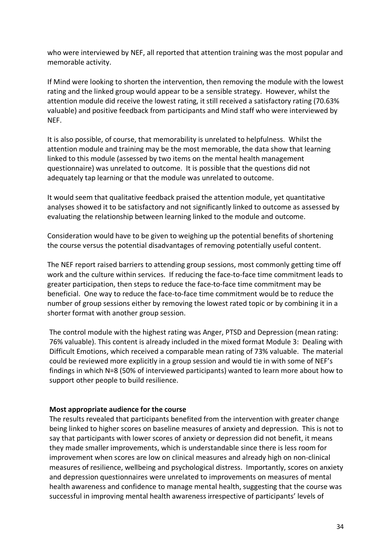who were interviewed by NEF, all reported that attention training was the most popular and memorable activity.

If Mind were looking to shorten the intervention, then removing the module with the lowest rating and the linked group would appear to be a sensible strategy. However, whilst the attention module did receive the lowest rating, it still received a satisfactory rating (70.63% valuable) and positive feedback from participants and Mind staff who were interviewed by NEF.

It is also possible, of course, that memorability is unrelated to helpfulness. Whilst the attention module and training may be the most memorable, the data show that learning linked to this module (assessed by two items on the mental health management questionnaire) was unrelated to outcome. It is possible that the questions did not adequately tap learning or that the module was unrelated to outcome.

It would seem that qualitative feedback praised the attention module, yet quantitative analyses showed it to be satisfactory and not significantly linked to outcome as assessed by evaluating the relationship between learning linked to the module and outcome.

Consideration would have to be given to weighing up the potential benefits of shortening the course versus the potential disadvantages of removing potentially useful content.

The NEF report raised barriers to attending group sessions, most commonly getting time off work and the culture within services. If reducing the face-to-face time commitment leads to greater participation, then steps to reduce the face-to-face time commitment may be beneficial. One way to reduce the face-to-face time commitment would be to reduce the number of group sessions either by removing the lowest rated topic or by combining it in a shorter format with another group session.

The control module with the highest rating was Anger, PTSD and Depression (mean rating: 76% valuable). This content is already included in the mixed format Module 3: Dealing with Difficult Emotions, which received a comparable mean rating of 73% valuable. The material could be reviewed more explicitly in a group session and would tie in with some of NEF's findings in which N=8 (50% of interviewed participants) wanted to learn more about how to support other people to build resilience.

### **Most appropriate audience for the course**

The results revealed that participants benefited from the intervention with greater change being linked to higher scores on baseline measures of anxiety and depression. This is not to say that participants with lower scores of anxiety or depression did not benefit, it means they made smaller improvements, which is understandable since there is less room for improvement when scores are low on clinical measures and already high on non-clinical measures of resilience, wellbeing and psychological distress. Importantly, scores on anxiety and depression questionnaires were unrelated to improvements on measures of mental health awareness and confidence to manage mental health, suggesting that the course was successful in improving mental health awareness irrespective of participants' levels of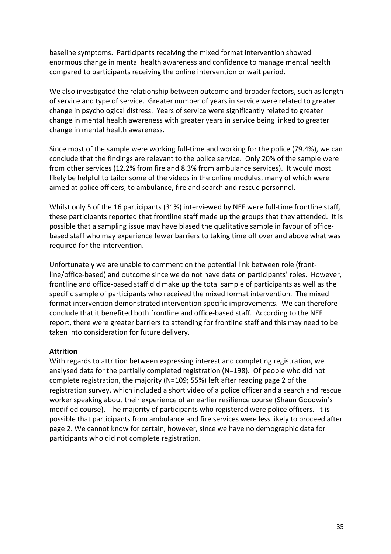baseline symptoms. Participants receiving the mixed format intervention showed enormous change in mental health awareness and confidence to manage mental health compared to participants receiving the online intervention or wait period.

We also investigated the relationship between outcome and broader factors, such as length of service and type of service. Greater number of years in service were related to greater change in psychological distress. Years of service were significantly related to greater change in mental health awareness with greater years in service being linked to greater change in mental health awareness.

Since most of the sample were working full-time and working for the police (79.4%), we can conclude that the findings are relevant to the police service. Only 20% of the sample were from other services (12.2% from fire and 8.3% from ambulance services). It would most likely be helpful to tailor some of the videos in the online modules, many of which were aimed at police officers, to ambulance, fire and search and rescue personnel.

Whilst only 5 of the 16 participants (31%) interviewed by NEF were full-time frontline staff, these participants reported that frontline staff made up the groups that they attended. It is possible that a sampling issue may have biased the qualitative sample in favour of officebased staff who may experience fewer barriers to taking time off over and above what was required for the intervention.

Unfortunately we are unable to comment on the potential link between role (frontline/office-based) and outcome since we do not have data on participants' roles. However, frontline and office-based staff did make up the total sample of participants as well as the specific sample of participants who received the mixed format intervention. The mixed format intervention demonstrated intervention specific improvements. We can therefore conclude that it benefited both frontline and office-based staff. According to the NEF report, there were greater barriers to attending for frontline staff and this may need to be taken into consideration for future delivery.

### **Attrition**

With regards to attrition between expressing interest and completing registration, we analysed data for the partially completed registration (N=198). Of people who did not complete registration, the majority (N=109; 55%) left after reading page 2 of the registration survey, which included a short video of a police officer and a search and rescue worker speaking about their experience of an earlier resilience course (Shaun Goodwin's modified course). The majority of participants who registered were police officers. It is possible that participants from ambulance and fire services were less likely to proceed after page 2. We cannot know for certain, however, since we have no demographic data for participants who did not complete registration.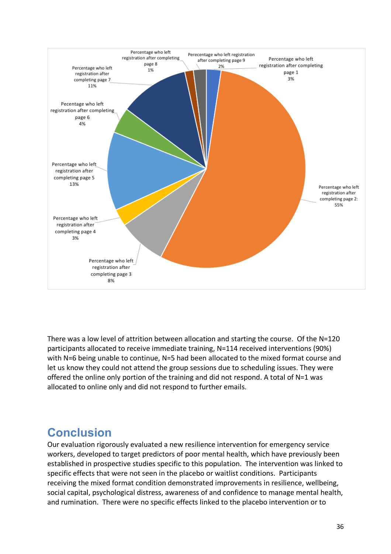

There was a low level of attrition between allocation and starting the course. Of the N=120 participants allocated to receive immediate training, N=114 received interventions (90%) with N=6 being unable to continue, N=5 had been allocated to the mixed format course and let us know they could not attend the group sessions due to scheduling issues. They were offered the online only portion of the training and did not respond. A total of N=1 was allocated to online only and did not respond to further emails.

## **Conclusion**

Our evaluation rigorously evaluated a new resilience intervention for emergency service workers, developed to target predictors of poor mental health, which have previously been established in prospective studies specific to this population. The intervention was linked to specific effects that were not seen in the placebo or waitlist conditions. Participants receiving the mixed format condition demonstrated improvements in resilience, wellbeing, social capital, psychological distress, awareness of and confidence to manage mental health, and rumination. There were no specific effects linked to the placebo intervention or to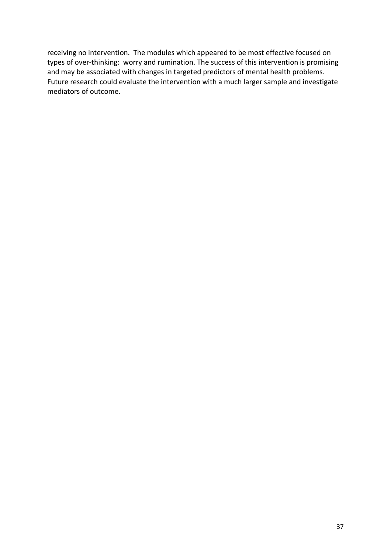receiving no intervention. The modules which appeared to be most effective focused on types of over-thinking: worry and rumination. The success of this intervention is promising and may be associated with changes in targeted predictors of mental health problems. Future research could evaluate the intervention with a much larger sample and investigate mediators of outcome.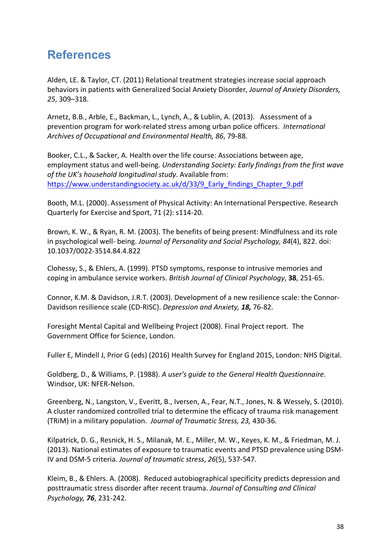# **References**

Alden, LE. & Taylor, CT. (2011) Relational treatment strategies increase social approach behaviors in patients with Generalized Social Anxiety Disorder, *Journal of Anxiety Disorders, 25*, 309–318.

Arnetz, B.B., Arble, E., Backman, L., Lynch, A., & Lublin, A. (2013). Assessment of a prevention program for work-related stress among urban police officers. *International Archives of Occupational and Environmental Health, 86*, 79-88.

Booker, C.L., & Sacker, A. Health over the life course: Associations between age, employment status and well-being. *Understanding Society: Early findings from the first wave of the UK's household longitudinal study*. Available from: https://www.understandingsociety.ac.uk/d/33/9\_Early\_findings\_Chapter\_9.pdf

Booth, M.L. (2000). Assessment of Physical Activity: An International Perspective. Research Quarterly for Exercise and Sport, 71 (2): s114-20.

Brown, K. W., & Ryan, R. M. (2003). The benefits of being present: Mindfulness and its role in psychological well- being. *Journal of Personality and Social Psychology, 84*(4), 822. doi: 10.1037/0022-3514.84.4.822

Clohessy, S., & Ehlers, A. (1999). PTSD symptoms, response to intrusive memories and coping in ambulance service workers. *British Journal of Clinical Psychology*, **38**, 251-65.

Connor, K.M. & Davidson, J.R.T. (2003). Development of a new resilience scale: the Connor-Davidson resilience scale (CD-RISC). *Depression and Anxiety, 18,* 76-82.

Foresight Mental Capital and Wellbeing Project (2008). Final Project report. The Government Office for Science, London.

Fuller E, Mindell J, Prior G (eds) (2016) Health Survey for England 2015, London: NHS Digital.

Goldberg, D., & Williams, P. (1988). *A user's guide to the General Health Questionnaire*. Windsor, UK: NFER-Nelson.

Greenberg, N., Langston, V., Everitt, B., Iversen, A., Fear, N.T., Jones, N. & Wessely, S. (2010). A cluster randomized controlled trial to determine the efficacy of trauma risk management (TRiM) in a military population. *Journal of Traumatic Stress, 23,* 430-36.

Kilpatrick, D. G., Resnick, H. S., Milanak, M. E., Miller, M. W., Keyes, K. M., & Friedman, M. J. (2013). National estimates of exposure to traumatic events and PTSD prevalence using DSM-IV and DSM-5 criteria. *Journal of traumatic stress*, *26*(5), 537-547.

Kleim, B., & Ehlers. A. (2008). Reduced autobiographical specificity predicts depression and posttraumatic stress disorder after recent trauma. *Journal of Consulting and Clinical Psychology, 76*, 231-242.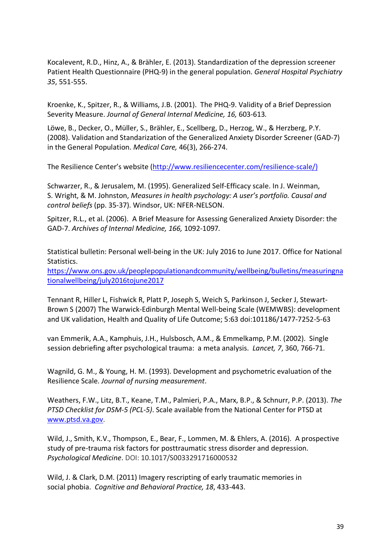Kocalevent, R.D., Hinz, A., & Brähler, E. (2013). Standardization of the depression screener Patient Health Questionnaire (PHQ-9) in the general population. *General Hospital Psychiatry 35*, 551-555.

Kroenke, K., Spitzer, R., & Williams, J.B. (2001). The PHQ-9. Validity of a Brief Depression Severity Measure. *Journal of General Internal Medicine, 16,* 603-613*.* 

Löwe, B., Decker, O., Müller, S., Brähler, E., Scellberg, D., Herzog, W., & Herzberg, P.Y. (2008). Validation and Standarization of the Generalized Anxiety Disorder Screener (GAD-7) in the General Population. *Medical Care,* 46(3), 266-274.

The Resilience Center's website (http://www.resiliencecenter.com/resilience-scale/)

Schwarzer, R., & Jerusalem, M. (1995). Generalized Self-Efficacy scale. In J. Weinman, S. Wright, & M. Johnston, *Measures in health psychology: A user's portfolio. Causal and control beliefs* (pp. 35-37). Windsor, UK: NFER-NELSON.

Spitzer, R.L., et al. (2006). A Brief Measure for Assessing Generalized Anxiety Disorder: the GAD-7. *Archives of Internal Medicine, 166,* 1092-1097*.*

Statistical bulletin: Personal well-being in the UK: July 2016 to June 2017. Office for National Statistics.

https://www.ons.gov.uk/peoplepopulationandcommunity/wellbeing/bulletins/measuringna tionalwellbeing/july2016tojune2017

Tennant R, Hiller L, Fishwick R, Platt P, Joseph S, Weich S, Parkinson J, Secker J, Stewart-Brown S (2007) The Warwick-Edinburgh Mental Well-being Scale (WEMWBS): development and UK validation, Health and Quality of Life Outcome; 5:63 doi:101186/1477-7252-5-63

van Emmerik, A.A., Kamphuis, J.H., Hulsbosch, A.M., & Emmelkamp, P.M. (2002). Single session debriefing after psychological trauma: a meta analysis. *Lancet, 7*, 360, 766-71.

Wagnild, G. M., & Young, H. M. (1993). Development and psychometric evaluation of the Resilience Scale. *Journal of nursing measurement*.

Weathers, F.W., Litz, B.T., Keane, T.M., Palmieri, P.A., Marx, B.P., & Schnurr, P.P. (2013). *The PTSD Checklist for DSM-5 (PCL-5)*. Scale available from the National Center for PTSD at www.ptsd.va.gov.

Wild, J., Smith, K.V., Thompson, E., Bear, F., Lommen, M. & Ehlers, A. (2016). A prospective study of pre-trauma risk factors for posttraumatic stress disorder and depression. *Psychological Medicine*. DOI: 10.1017/S0033291716000532

Wild, J. & Clark, D.M. (2011) Imagery rescripting of early traumatic memories in social phobia. *Cognitive and Behavioral Practice, 18*, 433-443.